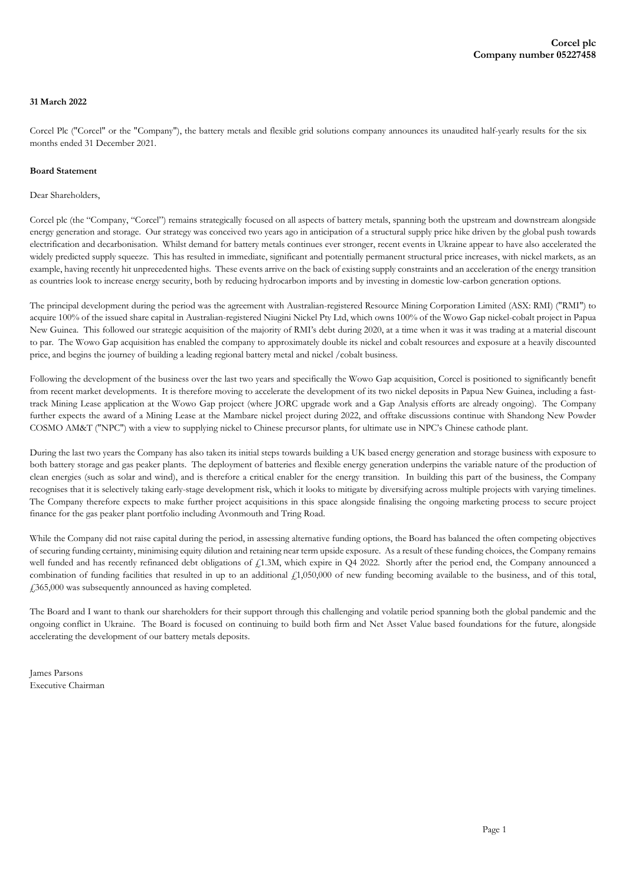### **31 March 2022**

Corcel Plc ("Corcel" or the "Company"), the battery metals and flexible grid solutions company announces its unaudited half-yearly results for the six months ended 31 December 2021.

#### **Board Statement**

#### Dear Shareholders,

Corcel plc (the "Company, "Corcel") remains strategically focused on all aspects of battery metals, spanning both the upstream and downstream alongside energy generation and storage. Our strategy was conceived two years ago in anticipation of a structural supply price hike driven by the global push towards electrification and decarbonisation. Whilst demand for battery metals continues ever stronger, recent events in Ukraine appear to have also accelerated the widely predicted supply squeeze. This has resulted in immediate, significant and potentially permanent structural price increases, with nickel markets, as an example, having recently hit unprecedented highs. These events arrive on the back of existing supply constraints and an acceleration of the energy transition as countries look to increase energy security, both by reducing hydrocarbon imports and by investing in domestic low-carbon generation options.

The principal development during the period was the agreement with Australian-registered Resource Mining Corporation Limited (ASX: RMI) ("RMI") to acquire 100% of the issued share capital in Australian-registered Niugini Nickel Pty Ltd, which owns 100% of the Wowo Gap nickel-cobalt project in Papua New Guinea. This followed our strategic acquisition of the majority of RMI's debt during 2020, at a time when it was it was trading at a material discount to par. The Wowo Gap acquisition has enabled the company to approximately double its nickel and cobalt resources and exposure at a heavily discounted price, and begins the journey of building a leading regional battery metal and nickel /cobalt business.

Following the development of the business over the last two years and specifically the Wowo Gap acquisition, Corcel is positioned to significantly benefit from recent market developments. It is therefore moving to accelerate the development of its two nickel deposits in Papua New Guinea, including a fasttrack Mining Lease application at the Wowo Gap project (where JORC upgrade work and a Gap Analysis efforts are already ongoing). The Company further expects the award of a Mining Lease at the Mambare nickel project during 2022, and offtake discussions continue with Shandong New Powder COSMO AM&T ("NPC") with a view to supplying nickel to Chinese precursor plants, for ultimate use in NPC's Chinese cathode plant.

During the last two years the Company has also taken its initial steps towards building a UK based energy generation and storage business with exposure to both battery storage and gas peaker plants. The deployment of batteries and flexible energy generation underpins the variable nature of the production of clean energies (such as solar and wind), and is therefore a critical enabler for the energy transition. In building this part of the business, the Company recognises that it is selectively taking early-stage development risk, which it looks to mitigate by diversifying across multiple projects with varying timelines. The Company therefore expects to make further project acquisitions in this space alongside finalising the ongoing marketing process to secure project finance for the gas peaker plant portfolio including Avonmouth and Tring Road.

While the Company did not raise capital during the period, in assessing alternative funding options, the Board has balanced the often competing objectives of securing funding certainty, minimising equity dilution and retaining near term upside exposure. As a result of these funding choices, the Company remains well funded and has recently refinanced debt obligations of £1.3M, which expire in Q4 2022. Shortly after the period end, the Company announced a combination of funding facilities that resulted in up to an additional  $f_1$ 1,050,000 of new funding becoming available to the business, and of this total, £365,000 was subsequently announced as having completed.

The Board and I want to thank our shareholders for their support through this challenging and volatile period spanning both the global pandemic and the ongoing conflict in Ukraine. The Board is focused on continuing to build both firm and Net Asset Value based foundations for the future, alongside accelerating the development of our battery metals deposits.

James Parsons Executive Chairman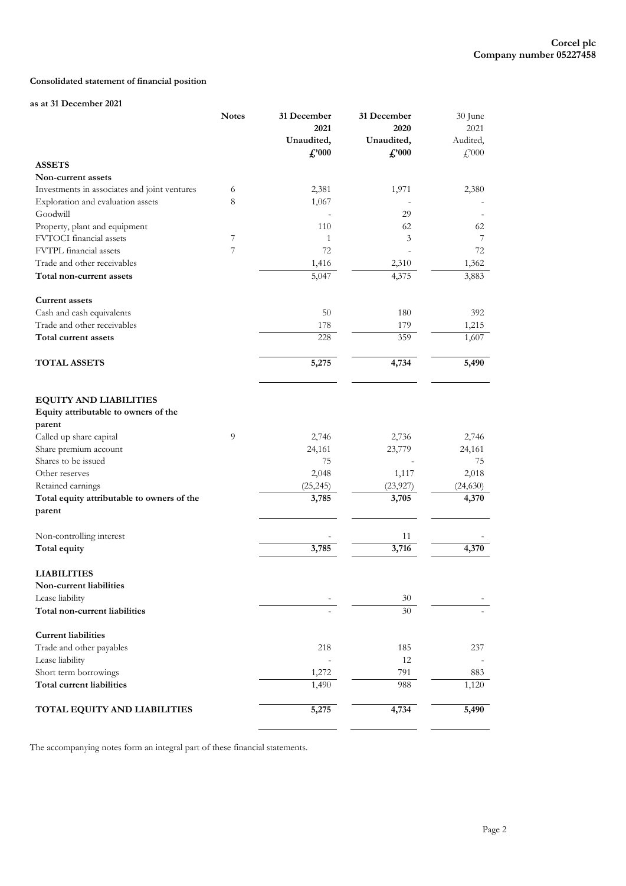# **Consolidated statement of financial position**

#### **as at 31 December 2021**

|                                              | <b>Notes</b> | 31 December    | 31 December    | 30 June             |
|----------------------------------------------|--------------|----------------|----------------|---------------------|
|                                              |              | 2021           | 2020           | 2021                |
|                                              |              | Unaudited,     | Unaudited,     | Audited,            |
|                                              |              | $\pounds$ '000 | $\pounds$ '000 | $\mathcal{L}^{000}$ |
| <b>ASSETS</b>                                |              |                |                |                     |
| Non-current assets                           |              |                |                |                     |
| Investments in associates and joint ventures | 6            | 2,381          | 1,971          | 2,380               |
| Exploration and evaluation assets            | 8            | 1,067          |                |                     |
| Goodwill                                     |              |                | 29             |                     |
| Property, plant and equipment                |              | 110            | 62             | 62                  |
| FVTOCI financial assets                      | 7            | $\mathbf{1}$   | 3              | 7                   |
| FVTPL financial assets                       | 7            | 72             |                | 72                  |
| Trade and other receivables                  |              | 1,416          | 2,310          | 1,362               |
| Total non-current assets                     |              | 5,047          | 4,375          | 3,883               |
| <b>Current assets</b>                        |              |                |                |                     |
| Cash and cash equivalents                    |              | 50             | 180            | 392                 |
| Trade and other receivables                  |              | 178            | 179            | 1,215               |
| Total current assets                         |              | 228            | 359            | 1,607               |
| <b>TOTAL ASSETS</b>                          |              | 5,275          | 4,734          | 5,490               |
|                                              |              |                |                |                     |
| <b>EQUITY AND LIABILITIES</b>                |              |                |                |                     |
| Equity attributable to owners of the         |              |                |                |                     |
| parent                                       |              |                |                |                     |
| Called up share capital                      | 9            | 2,746          | 2,736          | 2,746               |
| Share premium account                        |              | 24,161         | 23,779         | 24,161              |
| Shares to be issued                          |              | 75             |                | 75                  |
| Other reserves                               |              | 2,048          | 1,117          | 2,018               |
| Retained earnings                            |              | (25, 245)      | (23, 927)      | (24,630)            |
| Total equity attributable to owners of the   |              | 3,785          | 3,705          | 4,370               |
| parent                                       |              |                |                |                     |
| Non-controlling interest                     |              |                | 11             |                     |
| Total equity                                 |              | 3,785          | 3,716          | 4,370               |
| <b>LIABILITIES</b>                           |              |                |                |                     |
| Non-current liabilities                      |              |                |                |                     |
| Lease liability                              |              |                | 30             |                     |
| Total non-current liabilities                |              |                | 30             |                     |
| <b>Current liabilities</b>                   |              |                |                |                     |
| Trade and other payables                     |              | 218            | 185            | 237                 |
| Lease liability                              |              |                | 12             |                     |
| Short term borrowings                        |              | 1,272          | 791            | 883                 |
| Total current liabilities                    |              | 1,490          | 988            | 1,120               |
| TOTAL EQUITY AND LIABILITIES                 |              | 5,275          | 4,734          | 5,490               |
|                                              |              |                |                |                     |

The accompanying notes form an integral part of these financial statements.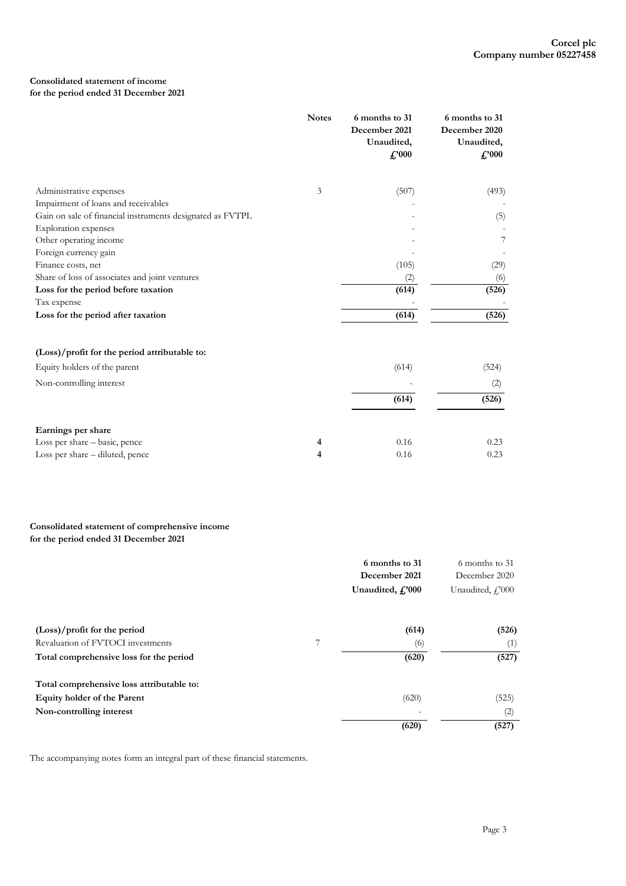# **Consolidated statement of income**

# **for the period ended 31 December 2021**

|                                                           | <b>Notes</b> | 6 months to 31<br>December 2021<br>Unaudited,<br>$\pounds$ '000 | 6 months to 31<br>December 2020<br>Unaudited,<br>$\pounds$ '000 |
|-----------------------------------------------------------|--------------|-----------------------------------------------------------------|-----------------------------------------------------------------|
| Administrative expenses                                   | 3            | (507)                                                           | (493)                                                           |
| Impairment of loans and receivables                       |              |                                                                 |                                                                 |
| Gain on sale of financial instruments designated as FVTPL |              |                                                                 | (5)                                                             |
| <b>Exploration</b> expenses                               |              |                                                                 |                                                                 |
| Other operating income                                    |              |                                                                 | 7                                                               |
| Foreign currency gain                                     |              |                                                                 |                                                                 |
| Finance costs, net                                        |              | (105)                                                           | (29)                                                            |
| Share of loss of associates and joint ventures            |              | (2)                                                             | (6)                                                             |
| Loss for the period before taxation                       |              | (614)                                                           | (526)                                                           |
| Tax expense                                               |              |                                                                 |                                                                 |
| Loss for the period after taxation                        |              | (614)                                                           | (526)                                                           |
| (Loss)/profit for the period attributable to:             |              |                                                                 |                                                                 |
| Equity holders of the parent                              |              | (614)                                                           | (524)                                                           |
| Non-controlling interest                                  |              |                                                                 | (2)                                                             |
|                                                           |              | (614)                                                           | (526)                                                           |
| Earnings per share                                        |              |                                                                 |                                                                 |
| Loss per share - basic, pence                             | 4            | 0.16                                                            | 0.23                                                            |
| Loss per share – diluted, pence                           | 4            | 0.16                                                            | 0.23                                                            |

### **Consolidated statement of comprehensive income for the period ended 31 December 2021**

|                                           |   | 6 months to 31<br>December 2021 | 6 months to 31<br>December 2020 |
|-------------------------------------------|---|---------------------------------|---------------------------------|
|                                           |   | Unaudited, C'000                | Unaudited, C <sub>1</sub> ?000  |
| $(Loss)/profit$ for the period            |   | (614)                           | (526)                           |
| Revaluation of FVTOCI investments         | 7 | (6)                             | (1)                             |
| Total comprehensive loss for the period   |   | (620)                           | (527)                           |
| Total comprehensive loss attributable to: |   |                                 |                                 |
| Equity holder of the Parent               |   | (620)                           | (525)                           |
| Non-controlling interest                  |   | $\overline{a}$                  | (2)                             |
|                                           |   | (620)                           | (527)                           |

The accompanying notes form an integral part of these financial statements.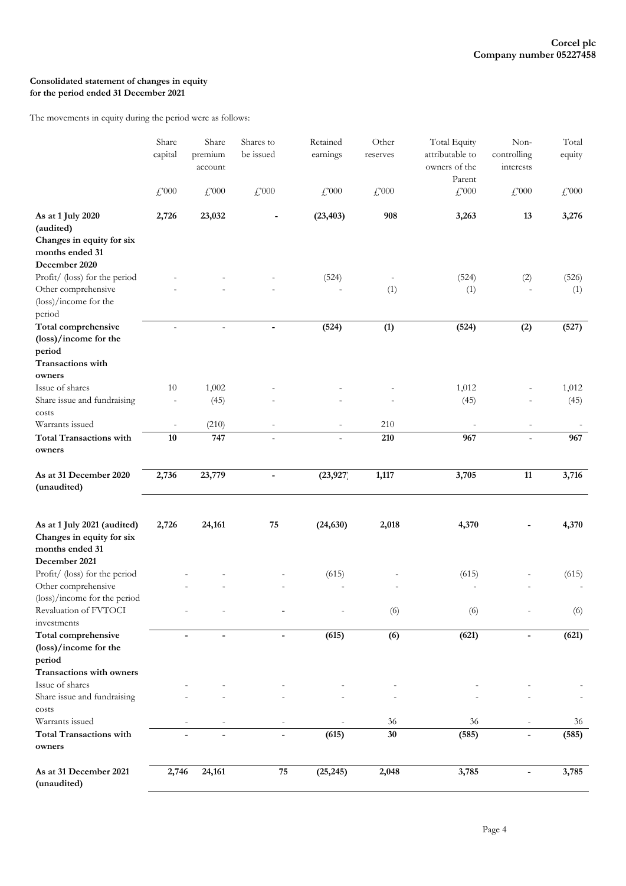# **Consolidated statement of changes in equity for the period ended 31 December 2021**

The movements in equity during the period were as follows:

|                                                                                                 | Share<br>capital    | Share<br>premium<br>account       | Shares to<br>be issued | Retained<br>earnings        | Other<br>reserves        | Total Equity<br>attributable to<br>owners of the<br>Parent | Non-<br>controlling<br>interests | Total<br>equity     |
|-------------------------------------------------------------------------------------------------|---------------------|-----------------------------------|------------------------|-----------------------------|--------------------------|------------------------------------------------------------|----------------------------------|---------------------|
|                                                                                                 | $\mathcal{L}^{000}$ | $\textcolor{red}{\mathcal{L}}000$ | $\mathcal{L}^{000}$    | $\textcolor{red}{f_2^2000}$ | $\textcolor{red}{f}$ 000 | $\textcolor{red}{f}$ ,000                                  | $£^{000}$                        | $\mathcal{L}^{000}$ |
| As at 1 July 2020<br>(audited)<br>Changes in equity for six<br>months ended 31<br>December 2020 | 2,726               | 23,032                            |                        | (23, 403)                   | 908                      | 3,263                                                      | 13                               | 3,276               |
| Profit/ (loss) for the period<br>Other comprehensive<br>(loss)/income for the<br>period         |                     |                                   |                        | (524)                       | (1)                      | (524)<br>(1)                                               | (2)                              | (526)<br>(1)        |
| Total comprehensive<br>(loss)/income for the<br>period                                          |                     | $\overline{a}$                    | $\blacksquare$         | (524)                       | (1)                      | (524)                                                      | (2)                              | (527)               |
| Transactions with<br>owners                                                                     |                     |                                   |                        |                             |                          |                                                            |                                  |                     |
| Issue of shares<br>Share issue and fundraising<br>costs                                         | 10                  | 1,002<br>(45)                     |                        |                             |                          | 1,012<br>(45)                                              |                                  | 1,012<br>(45)       |
| Warrants issued                                                                                 |                     | (210)                             |                        |                             | 210                      |                                                            |                                  |                     |
| <b>Total Transactions with</b><br>owners                                                        | 10                  | 747                               |                        |                             | 210                      | 967                                                        | $\overline{a}$                   | 967                 |
| As at 31 December 2020<br>(unaudited)                                                           | 2,736               | 23,779                            | $\blacksquare$         | (23, 927)                   | 1,117                    | 3,705                                                      | 11                               | 3,716               |
| As at 1 July 2021 (audited)<br>Changes in equity for six<br>months ended 31<br>December 2021    | 2,726               | 24,161                            | 75                     | (24, 630)                   | 2,018                    | 4,370                                                      |                                  | 4,370               |
| Profit/ (loss) for the period<br>Other comprehensive<br>(loss)/income for the period            |                     |                                   |                        | (615)                       |                          | (615)                                                      |                                  | (615)               |
| Revaluation of FVTOCI<br>investments                                                            |                     |                                   |                        |                             | (6)                      | (6)                                                        |                                  | (6)                 |
| Total comprehensive<br>(loss)/income for the<br>period<br>Transactions with owners              |                     |                                   |                        | (615)                       | (6)                      | (621)                                                      |                                  | (621)               |
| Issue of shares<br>Share issue and fundraising                                                  |                     |                                   |                        |                             |                          |                                                            |                                  |                     |
| costs<br>Warrants issued                                                                        |                     |                                   |                        |                             | 36                       | 36                                                         |                                  | 36                  |
| <b>Total Transactions with</b><br>owners                                                        |                     |                                   |                        | (615)                       | 30                       | (585)                                                      |                                  | (585)               |
| As at 31 December 2021<br>(unaudited)                                                           | 2,746               | 24,161                            | ${\bf 75}$             | (25, 245)                   | 2,048                    | 3,785                                                      | $\blacksquare$                   | 3,785               |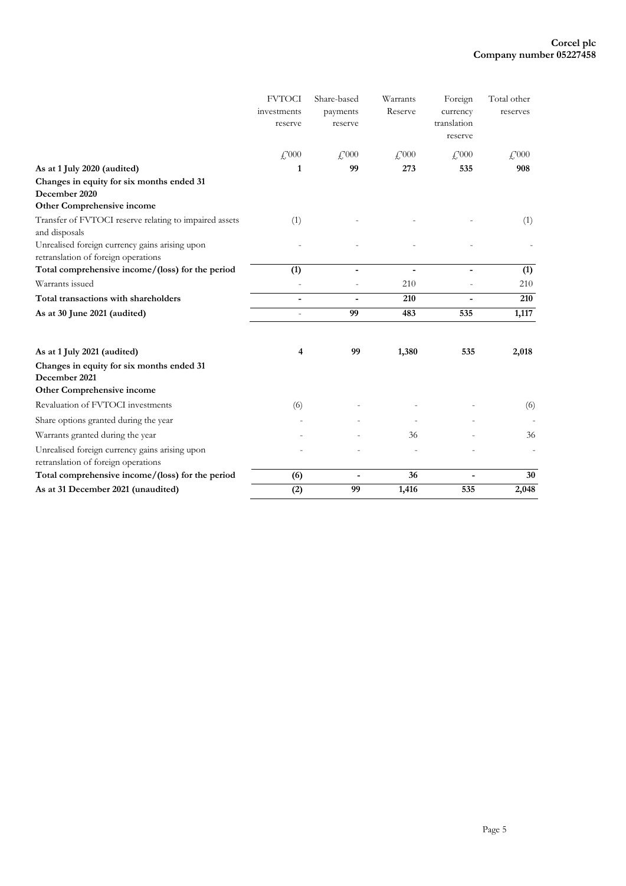|                                                                                       | <b>FVTOCI</b>    | Share-based              | Warrants              | Foreign                      | Total other           |
|---------------------------------------------------------------------------------------|------------------|--------------------------|-----------------------|------------------------------|-----------------------|
|                                                                                       | investments      | payments                 | Reserve               | currency                     | reserves              |
|                                                                                       | reserve          | reserve                  |                       | translation                  |                       |
|                                                                                       |                  |                          |                       | reserve                      |                       |
|                                                                                       | f,000            | $\frac{17000}{25000}$    | $\frac{17000}{25000}$ | $\frac{17000}{25000}$        | $\frac{17000}{25000}$ |
| As at 1 July 2020 (audited)                                                           | 1                | 99                       | 273                   | 535                          | 908                   |
| Changes in equity for six months ended 31                                             |                  |                          |                       |                              |                       |
| December 2020                                                                         |                  |                          |                       |                              |                       |
| Other Comprehensive income                                                            |                  |                          |                       |                              |                       |
| Transfer of FVTOCI reserve relating to impaired assets<br>and disposals               | (1)              |                          |                       |                              | (1)                   |
| Unrealised foreign currency gains arising upon<br>retranslation of foreign operations |                  |                          |                       |                              |                       |
| Total comprehensive income/(loss) for the period                                      | (1)              | $\overline{\phantom{0}}$ | $\blacksquare$        | $\qquad \qquad \blacksquare$ | (1)                   |
| Warrants issued                                                                       |                  |                          | 210                   |                              | 210                   |
| Total transactions with shareholders                                                  |                  |                          | 210                   |                              | 210                   |
| As at 30 June 2021 (audited)                                                          |                  | 99                       | 483                   | 535                          | 1,117                 |
| As at 1 July 2021 (audited)                                                           | 4                | 99                       | 1,380                 | 535                          | 2,018                 |
| Changes in equity for six months ended 31<br>December 2021                            |                  |                          |                       |                              |                       |
| Other Comprehensive income                                                            |                  |                          |                       |                              |                       |
| Revaluation of FVTOCI investments                                                     | (6)              |                          |                       |                              | (6)                   |
| Share options granted during the year                                                 |                  |                          |                       |                              |                       |
| Warrants granted during the year                                                      |                  |                          | 36                    |                              | 36                    |
| Unrealised foreign currency gains arising upon<br>retranslation of foreign operations |                  |                          |                       |                              | ÷                     |
| Total comprehensive income/(loss) for the period                                      | (6)              | $\blacksquare$           | 36                    |                              | 30                    |
| As at 31 December 2021 (unaudited)                                                    | $\overline{(2)}$ | 99                       | 1,416                 | 535                          | 2,048                 |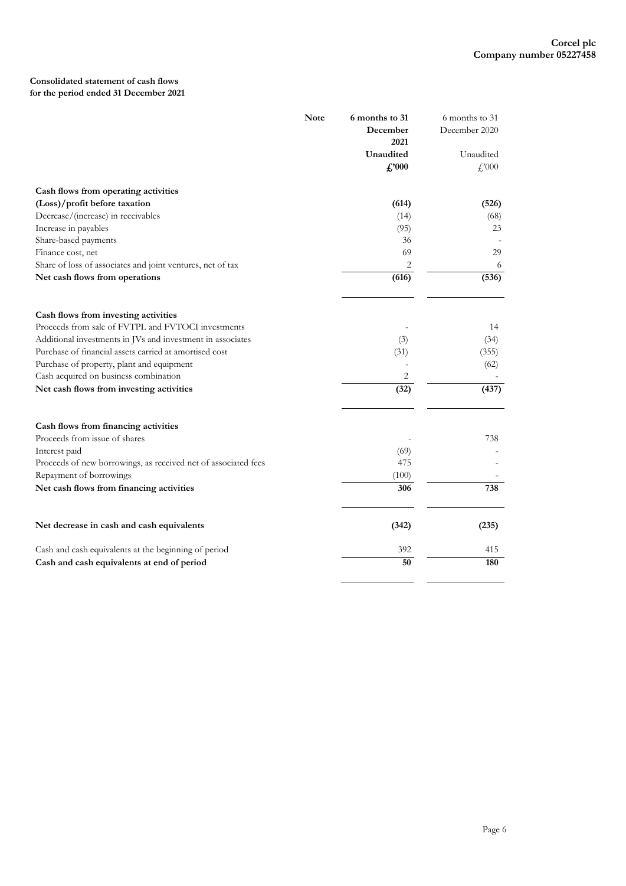# **Consolidated statement of cash flows for the period ended 31 December 2021**

|                                                                | <b>Note</b> | 6 months to 31 | 6 months to 31 |
|----------------------------------------------------------------|-------------|----------------|----------------|
|                                                                |             | December       | December 2020  |
|                                                                |             | 2021           |                |
|                                                                |             | Unaudited      | Unaudited      |
|                                                                |             | $\pounds 000$  | f,000          |
| Cash flows from operating activities                           |             |                |                |
| (Loss)/profit before taxation                                  |             | (614)          | (526)          |
| Decrease/(increase) in receivables                             |             | (14)           | (68)           |
| Increase in payables                                           |             | (95)           | 23             |
| Share-based payments                                           |             | 36             |                |
| Finance cost, net                                              |             | 69             | 29             |
| Share of loss of associates and joint ventures, net of tax     |             | 2              | 6              |
| Net cash flows from operations                                 |             | (616)          | (536)          |
|                                                                |             |                |                |
| Cash flows from investing activities                           |             |                |                |
| Proceeds from sale of FVTPL and FVTOCI investments             |             |                | 14             |
| Additional investments in JVs and investment in associates     |             | (3)            | (34)           |
| Purchase of financial assets carried at amortised cost         |             | (31)           | (355)          |
| Purchase of property, plant and equipment                      |             |                | (62)           |
| Cash acquired on business combination                          |             | 2              |                |
| Net cash flows from investing activities                       |             | (32)           | (437)          |
| Cash flows from financing activities                           |             |                |                |
| Proceeds from issue of shares                                  |             |                | 738            |
| Interest paid                                                  |             | (69)           |                |
| Proceeds of new borrowings, as received net of associated fees |             | 475            |                |
| Repayment of borrowings                                        |             | (100)          |                |
| Net cash flows from financing activities                       |             | 306            | 738            |
| Net decrease in cash and cash equivalents                      |             | (342)          | (235)          |
|                                                                |             |                |                |
| Cash and cash equivalents at the beginning of period           |             | 392            | 415            |
| Cash and cash equivalents at end of period                     |             | 50             | 180            |

 $\overline{a}$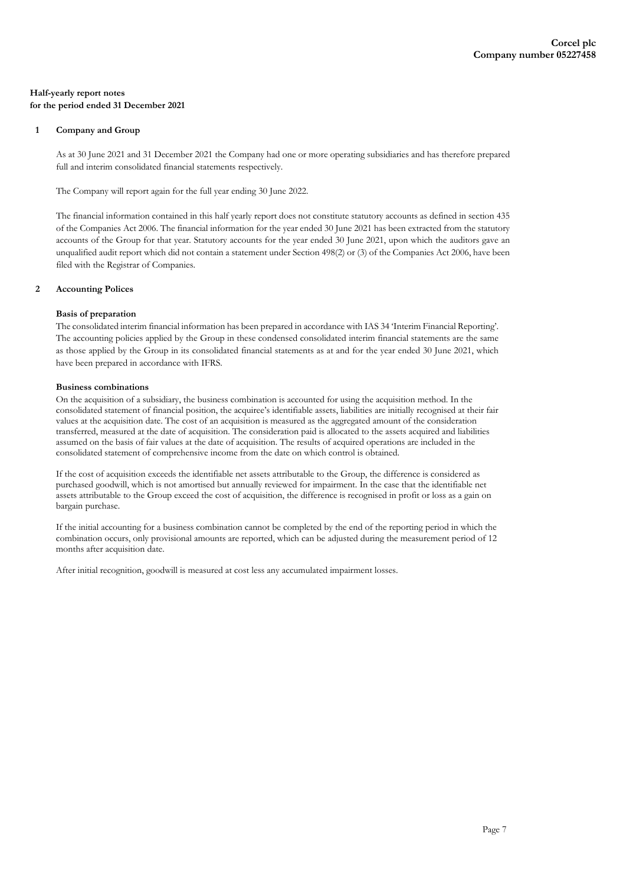### **Half-yearly report notes for the period ended 31 December 2021**

### **1 Company and Group**

As at 30 June 2021 and 31 December 2021 the Company had one or more operating subsidiaries and has therefore prepared full and interim consolidated financial statements respectively.

The Company will report again for the full year ending 30 June 2022.

The financial information contained in this half yearly report does not constitute statutory accounts as defined in section 435 of the Companies Act 2006. The financial information for the year ended 30 June 2021 has been extracted from the statutory accounts of the Group for that year. Statutory accounts for the year ended 30 June 2021, upon which the auditors gave an unqualified audit report which did not contain a statement under Section 498(2) or (3) of the Companies Act 2006, have been filed with the Registrar of Companies.

### **2 Accounting Polices**

## **Basis of preparation**

The consolidated interim financial information has been prepared in accordance with IAS 34 'Interim Financial Reporting'. The accounting policies applied by the Group in these condensed consolidated interim financial statements are the same as those applied by the Group in its consolidated financial statements as at and for the year ended 30 June 2021, which have been prepared in accordance with IFRS.

#### **Business combinations**

On the acquisition of a subsidiary, the business combination is accounted for using the acquisition method. In the consolidated statement of financial position, the acquiree's identifiable assets, liabilities are initially recognised at their fair values at the acquisition date. The cost of an acquisition is measured as the aggregated amount of the consideration transferred, measured at the date of acquisition. The consideration paid is allocated to the assets acquired and liabilities assumed on the basis of fair values at the date of acquisition. The results of acquired operations are included in the consolidated statement of comprehensive income from the date on which control is obtained.

If the cost of acquisition exceeds the identifiable net assets attributable to the Group, the difference is considered as purchased goodwill, which is not amortised but annually reviewed for impairment. In the case that the identifiable net assets attributable to the Group exceed the cost of acquisition, the difference is recognised in profit or loss as a gain on bargain purchase.

If the initial accounting for a business combination cannot be completed by the end of the reporting period in which the combination occurs, only provisional amounts are reported, which can be adjusted during the measurement period of 12 months after acquisition date.

After initial recognition, goodwill is measured at cost less any accumulated impairment losses.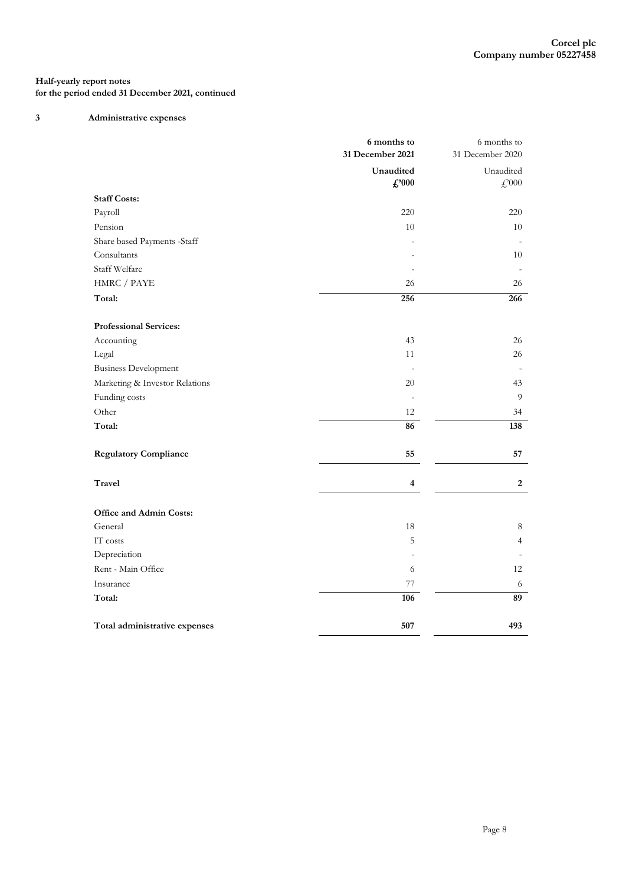# **3 Administrative expenses**

|                                | 6 months to<br>31 December 2021 | 6 months to<br>31 December 2020         |
|--------------------------------|---------------------------------|-----------------------------------------|
|                                | Unaudited<br>$\pounds$ '000     | Unaudited<br>$\textcolor{blue}{f}$ ,000 |
| <b>Staff Costs:</b>            |                                 |                                         |
| Payroll                        | 220                             | 220                                     |
| Pension                        | 10                              | 10                                      |
| Share based Payments -Staff    |                                 |                                         |
| Consultants                    |                                 | 10                                      |
| Staff Welfare                  |                                 | $\overline{a}$                          |
| ${\rm HMRC}$ / ${\rm PAYE}$    | 26                              | 26                                      |
| Total:                         | 256                             | 266                                     |
| <b>Professional Services:</b>  |                                 |                                         |
| Accounting                     | 43                              | 26                                      |
| Legal                          | 11                              | 26                                      |
| <b>Business Development</b>    | $\overline{\phantom{a}}$        |                                         |
| Marketing & Investor Relations | 20                              | 43                                      |
| Funding costs                  | $\sim$                          | 9                                       |
| Other                          | 12                              | 34                                      |
| Total:                         | 86                              | 138                                     |
| <b>Regulatory Compliance</b>   | 55                              | 57                                      |
| <b>Travel</b>                  | $\overline{\mathbf{4}}$         | $\boldsymbol{2}$                        |
| Office and Admin Costs:        |                                 |                                         |
| General                        | 18                              | 8                                       |
| IT costs                       | 5                               | $\overline{4}$                          |
| Depreciation                   |                                 |                                         |
| Rent - Main Office             | 6                               | 12                                      |
| Insurance                      | 77                              | 6                                       |
| Total:                         | 106                             | 89                                      |
| Total administrative expenses  | 507                             | 493                                     |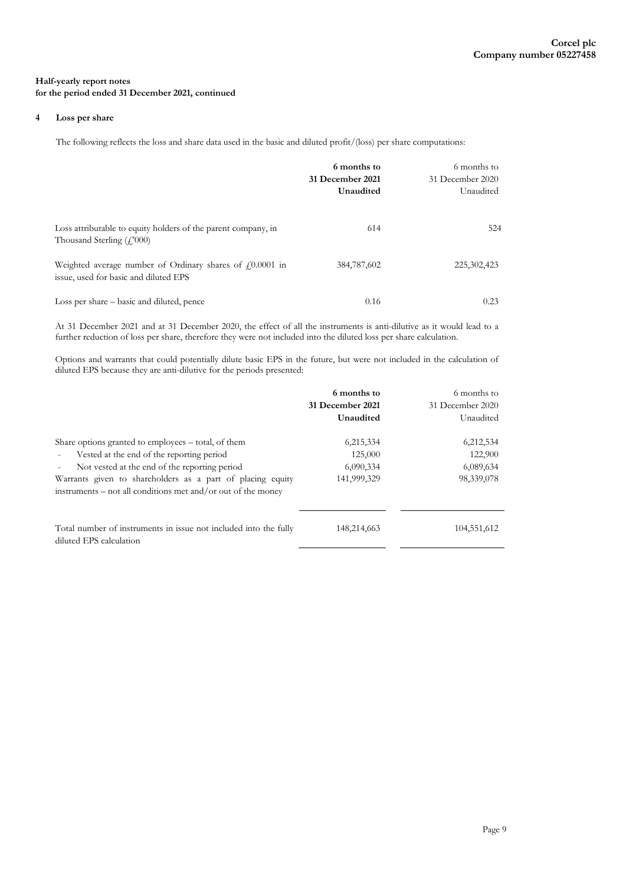### **4 Loss per share**

The following reflects the loss and share data used in the basic and diluted profit/(loss) per share computations:

|                                                                                                       | 6 months to<br>31 December 2021<br>Unaudited | 6 months to<br>31 December 2020<br>Unaudited |
|-------------------------------------------------------------------------------------------------------|----------------------------------------------|----------------------------------------------|
| Loss attributable to equity holders of the parent company, in<br>Thousand Sterling $(f'000)$          | 614                                          | 524                                          |
| Weighted average number of Ordinary shares of $f(0.0001)$ in<br>issue, used for basic and diluted EPS | 384,787,602                                  | 225, 302, 423                                |
| Loss per share – basic and diluted, pence                                                             | 0.16                                         | 0.23                                         |

At 31 December 2021 and at 31 December 2020, the effect of all the instruments is anti-dilutive as it would lead to a further reduction of loss per share, therefore they were not included into the diluted loss per share calculation.

Options and warrants that could potentially dilute basic EPS in the future, but were not included in the calculation of diluted EPS because they are anti-dilutive for the periods presented:

|                                                                                                                                                                                                                                                                                 | 6 months to<br>31 December 2021<br>Unaudited     | 6 months to<br>31 December 2020<br>Unaudited    |
|---------------------------------------------------------------------------------------------------------------------------------------------------------------------------------------------------------------------------------------------------------------------------------|--------------------------------------------------|-------------------------------------------------|
| Share options granted to employees – total, of them<br>Vested at the end of the reporting period<br>Not vested at the end of the reporting period<br>Warrants given to shareholders as a part of placing equity<br>instruments – not all conditions met and/or out of the money | 6,215,334<br>125,000<br>6,090,334<br>141,999,329 | 6,212,534<br>122,900<br>6,089,634<br>98,339,078 |
| Total number of instruments in issue not included into the fully<br>diluted EPS calculation                                                                                                                                                                                     | 148,214,663                                      | 104,551,612                                     |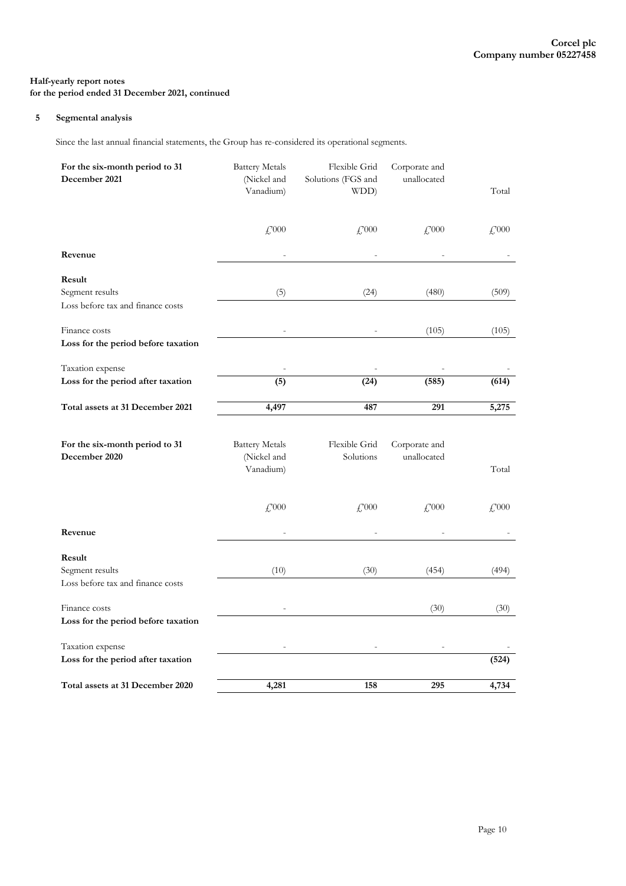### **5 Segmental analysis**

Since the last annual financial statements, the Group has re-considered its operational segments.

| For the six-month period to 31<br>December 2021 | <b>Battery Metals</b><br>(Nickel and<br>Vanadium) | Flexible Grid<br>Solutions (FGS and<br>WDD) | Corporate and<br>unallocated | Total               |
|-------------------------------------------------|---------------------------------------------------|---------------------------------------------|------------------------------|---------------------|
|                                                 |                                                   |                                             |                              |                     |
|                                                 | $\textcolor{red}{f_2^{9000}}$                     | $\mathcal{L}^{000}$                         | $\mathcal{L}^{000}$          | $\mathcal{L}^{000}$ |
| Revenue                                         |                                                   |                                             |                              |                     |
| Result                                          |                                                   |                                             |                              |                     |
| Segment results                                 | (5)                                               | (24)                                        | (480)                        | (509)               |
| Loss before tax and finance costs               |                                                   |                                             |                              |                     |
| Finance costs                                   |                                                   |                                             | (105)                        | (105)               |
| Loss for the period before taxation             |                                                   |                                             |                              |                     |
| Taxation expense                                |                                                   |                                             |                              |                     |
| Loss for the period after taxation              | (5)                                               | (24)                                        | (585)                        | (614)               |
| Total assets at 31 December 2021                | 4,497                                             | 487                                         | 291                          | 5,275               |
|                                                 |                                                   |                                             |                              |                     |
| For the six-month period to 31                  | <b>Battery Metals</b>                             | Flexible Grid                               | Corporate and                |                     |
| December 2020                                   | (Nickel and                                       | Solutions                                   | unallocated                  |                     |
|                                                 | Vanadium)                                         |                                             |                              | Total               |
|                                                 |                                                   |                                             |                              |                     |
|                                                 | $\textcolor{red}{f_2^{9000}}$                     | $\mathcal{L}^{000}$                         | $£^{000}$                    | $\mathcal{L}^{000}$ |
| Revenue                                         |                                                   |                                             |                              |                     |
| Result                                          |                                                   |                                             |                              |                     |
| Segment results                                 | (10)                                              | (30)                                        | (454)                        | (494)               |
| Loss before tax and finance costs               |                                                   |                                             |                              |                     |
| Finance costs                                   |                                                   |                                             | (30)                         | (30)                |
| Loss for the period before taxation             |                                                   |                                             |                              |                     |
| Taxation expense                                |                                                   |                                             |                              |                     |
| Loss for the period after taxation              |                                                   |                                             |                              | (524)               |
| Total assets at 31 December 2020                | 4,281                                             | 158                                         | 295                          | 4,734               |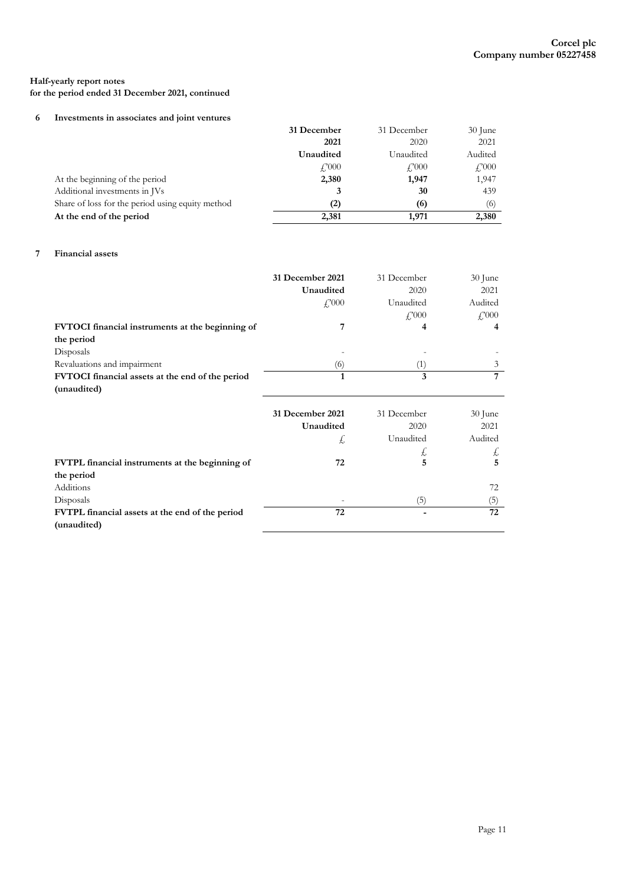# **Half-yearly report notes**

**for the period ended 31 December 2021, continued**

### **6 Investments in associates and joint ventures**

|                                                  | 31 December  | 31 December    | $30$ June                 |
|--------------------------------------------------|--------------|----------------|---------------------------|
|                                                  | 2021         | 2020           | 2021                      |
|                                                  | Unaudited    | Unaudited      | Audited                   |
|                                                  | $\angle 000$ | $f_{.}^{.000}$ | $\textcolor{red}{f}$ ,000 |
| At the beginning of the period                   | 2,380        | 1,947          | 1,947                     |
| Additional investments in JVs                    | 3            | 30             | 439                       |
| Share of loss for the period using equity method | $^{(2)}$     | (6)            | (6)                       |
| At the end of the period                         | 2,381        | 1.971          | 2,380                     |

# **7 Financial assets**

|                                                  | 31 December 2021          | 31 December                | 30 June                    |
|--------------------------------------------------|---------------------------|----------------------------|----------------------------|
|                                                  | Unaudited                 | 2020                       | 2021                       |
|                                                  | $\textcolor{red}{f}$ ,000 | Unaudited                  | Audited                    |
|                                                  |                           | $\textcolor{red}{f}$ , 000 | $\textcolor{red}{f}$ , 000 |
| FVTOCI financial instruments at the beginning of | 7                         | 4                          | 4                          |
| the period                                       |                           |                            |                            |
| Disposals                                        |                           |                            |                            |
| Revaluations and impairment                      | (6)                       | (1)                        | 3                          |
| FVTOCI financial assets at the end of the period | 1                         | 3                          | 7                          |
| (unaudited)                                      |                           |                            |                            |
|                                                  |                           |                            |                            |
|                                                  |                           |                            |                            |
|                                                  | 31 December 2021          | 31 December                | 30 June                    |
|                                                  | Unaudited                 | 2020                       | 2021                       |
|                                                  | £,                        | Unaudited                  | Audited                    |
|                                                  |                           | Ł,                         | £,                         |
| FVTPL financial instruments at the beginning of  | 72                        | 5                          | 5                          |
| the period                                       |                           |                            |                            |
| Additions                                        |                           |                            | 72                         |
| Disposals                                        |                           | (5)                        | (5)                        |
| FVTPL financial assets at the end of the period  | 72                        |                            | 72                         |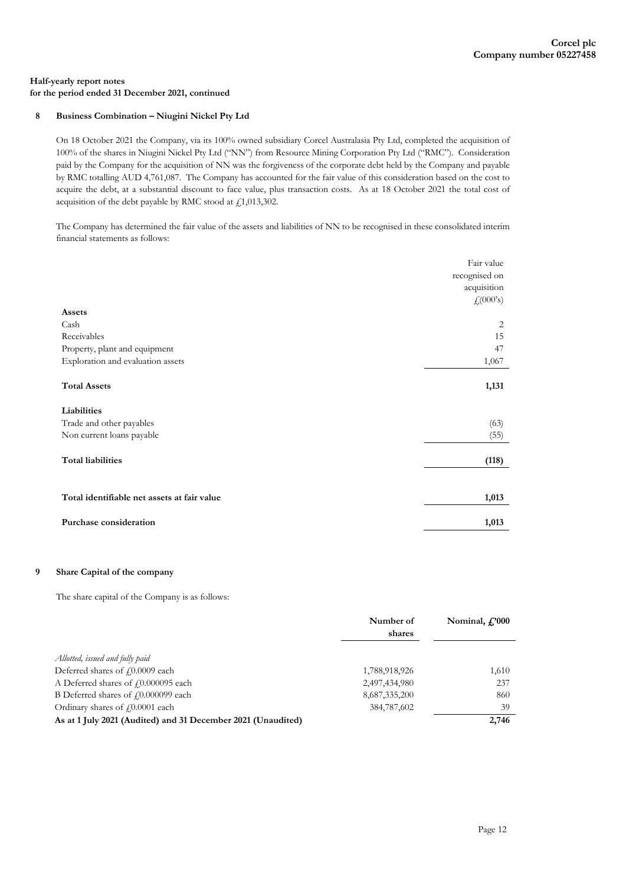### **8 Business Combination – Niugini Nickel Pty Ltd**

On 18 October 2021 the Company, via its 100% owned subsidiary Corcel Australasia Pty Ltd, completed the acquisition of 100% of the shares in Niugini Nickel Pty Ltd ("NN") from Resource Mining Corporation Pty Ltd ("RMC"). Consideration paid by the Company for the acquisition of NN was the forgiveness of the corporate debt held by the Company and payable by RMC totalling AUD 4,761,087. The Company has accounted for the fair value of this consideration based on the cost to acquire the debt, at a substantial discount to face value, plus transaction costs. As at 18 October 2021 the total cost of acquisition of the debt payable by RMC stood at  $\text{\emph{f}}_11,013,302.$ 

The Company has determined the fair value of the assets and liabilities of NN to be recognised in these consolidated interim financial statements as follows:

|                                             | Fair value<br>recognised on<br>acquisition<br>f(000's) |
|---------------------------------------------|--------------------------------------------------------|
| Assets                                      |                                                        |
| Cash                                        | 2                                                      |
| Receivables                                 | 15                                                     |
| Property, plant and equipment               | 47                                                     |
| Exploration and evaluation assets           | 1,067                                                  |
| <b>Total Assets</b>                         | 1,131                                                  |
| Liabilities                                 |                                                        |
| Trade and other payables                    | (63)                                                   |
| Non current loans payable                   | (55)                                                   |
| <b>Total liabilities</b>                    | (118)                                                  |
| Total identifiable net assets at fair value | 1,013                                                  |
| Purchase consideration                      | 1,013                                                  |

### **9 Share Capital of the company**

The share capital of the Company is as follows:

|                                                              | Number of<br>shares | Nominal, $f$ <sup>'000</sup> |
|--------------------------------------------------------------|---------------------|------------------------------|
|                                                              |                     |                              |
| Allotted, issued and fully paid                              |                     |                              |
| Deferred shares of £0.0009 each                              | 1,788,918,926       | 1,610                        |
| A Deferred shares of £0.000095 each                          | 2,497,434,980       | 237                          |
| B Deferred shares of £0.000099 each                          | 8,687,335,200       | 860                          |
| Ordinary shares of £0.0001 each                              | 384,787,602         | 39                           |
| As at 1 July 2021 (Audited) and 31 December 2021 (Unaudited) |                     | 2,746                        |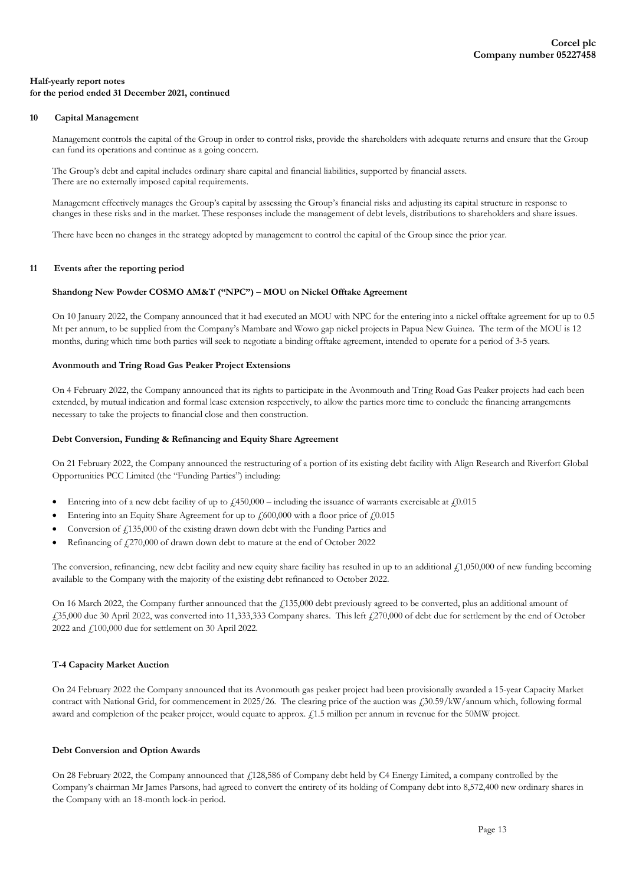### **10 Capital Management**

Management controls the capital of the Group in order to control risks, provide the shareholders with adequate returns and ensure that the Group can fund its operations and continue as a going concern.

The Group's debt and capital includes ordinary share capital and financial liabilities, supported by financial assets. There are no externally imposed capital requirements.

Management effectively manages the Group's capital by assessing the Group's financial risks and adjusting its capital structure in response to changes in these risks and in the market. These responses include the management of debt levels, distributions to shareholders and share issues.

There have been no changes in the strategy adopted by management to control the capital of the Group since the prior year.

#### **11 Events after the reporting period**

#### **Shandong New Powder COSMO AM&T ("NPC") – MOU on Nickel Offtake Agreement**

On 10 January 2022, the Company announced that it had executed an MOU with NPC for the entering into a nickel offtake agreement for up to 0.5 Mt per annum, to be supplied from the Company's Mambare and Wowo gap nickel projects in Papua New Guinea. The term of the MOU is 12 months, during which time both parties will seek to negotiate a binding offtake agreement, intended to operate for a period of 3-5 years.

#### **Avonmouth and Tring Road Gas Peaker Project Extensions**

On 4 February 2022, the Company announced that its rights to participate in the Avonmouth and Tring Road Gas Peaker projects had each been extended, by mutual indication and formal lease extension respectively, to allow the parties more time to conclude the financing arrangements necessary to take the projects to financial close and then construction.

#### **Debt Conversion, Funding & Refinancing and Equity Share Agreement**

On 21 February 2022, the Company announced the restructuring of a portion of its existing debt facility with Align Research and Riverfort Global Opportunities PCC Limited (the "Funding Parties") including:

- Entering into of a new debt facility of up to  $\mu$ 450,000 including the issuance of warrants exercisable at  $\mu$ 0.015
- Entering into an Equity Share Agreement for up to  $f_1$ 600,000 with a floor price of  $f_1$ 0.015
- Conversion of  $\ell$ 135,000 of the existing drawn down debt with the Funding Parties and
- Refinancing of £270,000 of drawn down debt to mature at the end of October 2022

The conversion, refinancing, new debt facility and new equity share facility has resulted in up to an additional  $\ell$ 1,050,000 of new funding becoming available to the Company with the majority of the existing debt refinanced to October 2022.

On 16 March 2022, the Company further announced that the £135,000 debt previously agreed to be converted, plus an additional amount of £35,000 due 30 April 2022, was converted into 11,333,333 Company shares. This left £270,000 of debt due for settlement by the end of October 2022 and £100,000 due for settlement on 30 April 2022.

### **T-4 Capacity Market Auction**

On 24 February 2022 the Company announced that its Avonmouth gas peaker project had been provisionally awarded a 15-year Capacity Market contract with National Grid, for commencement in 2025/26. The clearing price of the auction was £30.59/kW/annum which, following formal award and completion of the peaker project, would equate to approx. £1.5 million per annum in revenue for the 50MW project.

#### **Debt Conversion and Option Awards**

On 28 February 2022, the Company announced that £128,586 of Company debt held by C4 Energy Limited, a company controlled by the Company's chairman Mr James Parsons, had agreed to convert the entirety of its holding of Company debt into 8,572,400 new ordinary shares in the Company with an 18-month lock-in period.